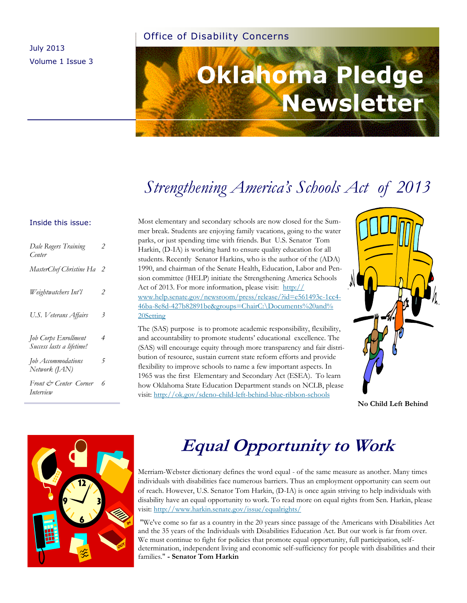#### Office of Disability Concerns

July 2013 Volume 1 Issue 3

# **Oklahoma Pledge Newsletter**

### *Strengthening America's Schools Act of 2013*

#### Inside this issue:

| Dale Rogers Training<br>Center                    | 2              |
|---------------------------------------------------|----------------|
| MasterChef Christine Ha                           | 2              |
| Weightwatchers Int'l                              | $\overline{2}$ |
| U.S. Veterans Affairs                             | 3              |
| Job Corps Enrollment<br>Success lasts a lifetime! | 4              |
| Job Accommodations<br>Network $(IAN)$             | 5              |
| Front & Center Corner<br>Interview                | 6              |

Most elementary and secondary schools are now closed for the Summer break. Students are enjoying family vacations, going to the water parks, or just spending time with friends. But U.S. Senator Tom Harkin, (D-IA) is working hard to ensure quality education for all students. Recently Senator Harkins, who is the author of the (ADA) 1990, and chairman of the Senate Health, Education, Labor and Pension committee (HELP) initiate the Strengthening America Schools Act of 2013. For more information, please visit: [http://](http://www.help.senate.gov/newsroom/press/release/?id=e561493c-1cc4-46ba-8e8d-b427b82891be&groups=ChairC:/Documents%20and%20Setting) [www.help.senate.gov/newsroom/press/release/?id=e561493c-1cc4-](http://www.help.senate.gov/newsroom/press/release/?id=e561493c-1cc4-46ba-8e8d-b427b82891be&groups=ChairC:/Documents%20and%20Setting) [46ba-8e8d-427b82891be&groups=ChairC:\Documents%20and%](http://www.help.senate.gov/newsroom/press/release/?id=e561493c-1cc4-46ba-8e8d-b427b82891be&groups=ChairC:/Documents%20and%20Setting) [20Setting](http://www.help.senate.gov/newsroom/press/release/?id=e561493c-1cc4-46ba-8e8d-b427b82891be&groups=ChairC:/Documents%20and%20Setting)

The (SAS) purpose is to promote academic responsibility, flexibility, and accountability to promote students' educational excellence. The (SAS) will encourage equity through more transparency and fair distribution of resource, sustain current state reform efforts and provide flexibility to improve schools to name a few important aspects. In 1965 was the first Elementary and Secondary Act (ESEA). To learn how Oklahoma State Education Department stands on NCLB, please visit: [http://ok.gov/sdeno-child-left-behind-blue-ribbon-schools](http://ok.gov/sde/no-child-left-behind-blue-ribbon-schools)



**No Child Left Behind** 



### **Equal Opportunity to Work**

Merriam-Webster dictionary defines the word equal - of the same measure as another. Many times individuals with disabilities face numerous barriers. Thus an employment opportunity can seem out of reach. However, U.S. Senator Tom Harkin, (D-IA) is once again striving to help individuals with disability have an equal opportunity to work. To read more on equal rights from Sen. Harkin, please visit: <http://www.harkin.senate.gov/issue/equalrights/>

 "We've come so far as a country in the 20 years since passage of the Americans with Disabilities Act and the 35 years of the Individuals with Disabilities Education Act. But our work is far from over. We must continue to fight for policies that promote equal opportunity, full participation, selfdetermination, independent living and economic self-sufficiency for people with disabilities and their families." **- Senator Tom Harkin**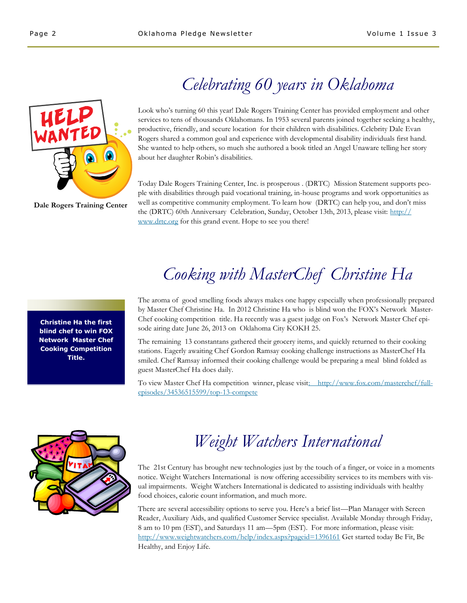### *Celebrating 60 years in Oklahoma*

Look who's turning 60 this year! Dale Rogers Training Center has provided employment and other services to tens of thousands Oklahomans. In 1953 several parents joined together seeking a healthy, productive, friendly, and secure location for their children with disabilities. Celebrity Dale Evan Rogers shared a common goal and experience with developmental disability individuals first hand. She wanted to help others, so much she authored a book titled an Angel Unaware telling her story about her daughter Robin's disabilities.

Today Dale Rogers Training Center, Inc. is prosperous . (DRTC) Mission Statement supports people with disabilities through paid vocational training, in-house programs and work opportunities as well as competitive community employment. To learn how (DRTC) can help you, and don't miss the (DRTC) 60th Anniversary Celebration, Sunday, October 13th, 2013, please visit: [http://](http://www.drtc.org) [www.drtc.org](http://www.drtc.org) for this grand event. Hope to see you there!

### *Cooking with MasterChef Christine Ha*

The aroma of good smelling foods always makes one happy especially when professionally prepared by Master Chef Christine Ha. In 2012 Christine Ha who is blind won the FOX's Network Master-Chef cooking competition title. Ha recently was a guest judge on Fox's Network Master Chef episode airing date June 26, 2013 on Oklahoma City KOKH 25.

The remaining 13 constantans gathered their grocery items, and quickly returned to their cooking stations. Eagerly awaiting Chef Gordon Ramsay cooking challenge instructions as MasterChef Ha smiled. Chef Ramsay informed their cooking challenge would be preparing a meal blind folded as guest MasterChef Ha does daily.

To view Master Chef Ha competition winner, please visit[: http://www.fox.com/masterchef/full](http://www.fox.com/masterchef/full-episodes/34536515599/top-13-compete)[episodes/34536515599/top-13-compete](http://www.fox.com/masterchef/full-episodes/34536515599/top-13-compete)



### *Weight Watchers International*

The 21st Century has brought new technologies just by the touch of a finger, or voice in a moments notice. Weight Watchers International is now offering accessibility services to its members with visual impairments. Weight Watchers International is dedicated to assisting individuals with healthy food choices, calorie count information, and much more.

There are several accessibility options to serve you. Here's a brief list—Plan Manager with Screen Reader, Auxiliary Aids, and qualified Customer Service specialist. Available Monday through Friday, 8 am to 10 pm (EST), and Saturdays 11 am—5pm (EST). For more information, please visit: [http://www.weightwatchers.com/help/index.aspx?pageid=1396161 G](http://www.weightwatchers.com/help/index.aspx?pageid=1396161)et started today Be Fit, Be Healthy, and Enjoy Life.

**Christine Ha the first blind chef to win FOX Network Master Chef Cooking Competition Title.** 



**Dale Rogers Training Center**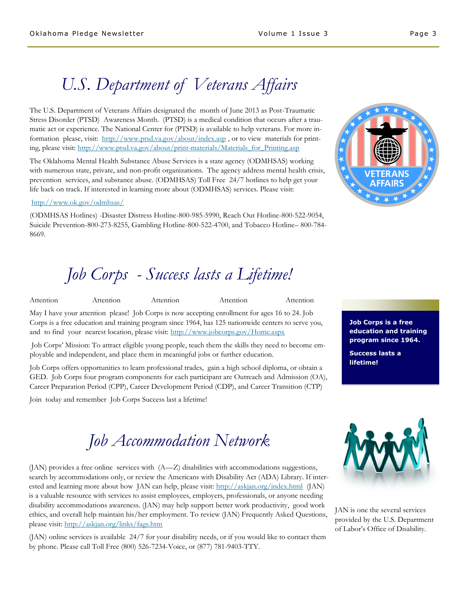### *U.S. Department of Veterans Affairs*

The U.S. Department of Veterans Affairs designated the month of June 2013 as Post-Traumatic Stress Disorder (PTSD) Awareness Month. (PTSD) is a medical condition that occurs after a traumatic act or experience. The National Center for (PTSD) is available to help veterans. For more information please, visit: [http://www.ptsd.va.gov/about/index.asp ,](http://www.ptsd.va.gov/about/index.asp) or to view materials for printing, please visit: http://www.ptsd.va.gov/about/print-materials/Materials for Printing.asp

The Oklahoma Mental Health Substance Abuse Services is a state agency (ODMHSAS) working with numerous state, private, and non-profit organizations. The agency address mental health crisis, prevention services, and substance abuse. (ODMHSAS) Toll Free 24/7 hotlines to help get your life back on track. If interested in learning more about (ODMHSAS) services. Please visit:

#### <http://www.ok.gov/odmhsas/>

(ODMHSAS Hotlines) -Disaster Distress Hotline-800-985-5990, Reach Out Hotline-800-522-9054, Suicide Prevention-800-273-8255, Gambling Hotline-800-522-4700, and Tobacco Hotline– 800-784- 8669.

### *Job Corps - Success lasts a Lifetime!*

Attention Attention Attention Attention Attention

May I have your attention please! Job Corps is now accepting enrollment for ages 16 to 24. Job Corps is a free education and training program since 1964, has 125 nationwide centers to serve you, and to find your nearest location, please visit: <http://www.jobcorps.gov/Home.aspx>

Job Corps' Mission: To attract eligible young people, teach them the skills they need to become employable and independent, and place them in meaningful jobs or further education.

Job Corps offers opportunities to learn professional trades, gain a high school diploma, or obtain a GED. Job Corps four program components for each participant are Outreach and Admission (OA), Career Preparation Period (CPP), Career Development Period (CDP), and Career Transition (CTP)

Join today and remember Job Corps Success last a lifetime!



**Job Corps is a free education and training program since 1964.** 

**Success lasts a lifetime!** 

## *Job Accommodation Network*

(JAN) provides a free online services with (A—Z) disabilities with accommodations suggestions, search by accommodations only, or review the Americans with Disability Act (ADA) Library. If interested and learning more about how JAN can help, please visit: <http://askjan.org/index.html>(JAN) is a valuable resource with services to assist employees, employers, professionals, or anyone needing disability accommodations awareness. (JAN) may help support better work productivity, good work ethics, and overall help maintain his/her employment. To review (JAN) Frequently Asked Questions, please visit: [http://askjan.org/links/fags.htm](http://askjan.org/links/faqs.htm)

(JAN) online services is available 24/7 for your disability needs, or if you would like to contact them by phone. Please call Toll Free (800) 526-7234-Voice, or (877) 781-9403-TTY.



JAN is one the several services provided by the U.S. Department of Labor's Office of Disability.